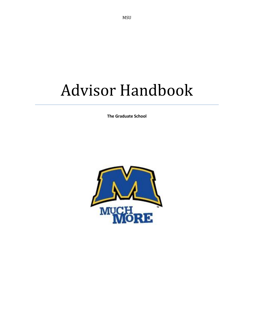# Advisor Handbook

**The Graduate School**

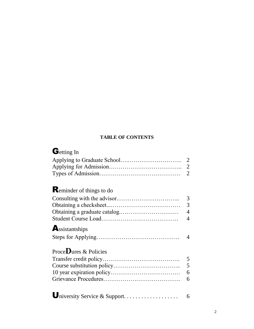### **TABLE OF CONTENTS**

### Getting In

|                                 | 2              |
|---------------------------------|----------------|
|                                 | $\overline{2}$ |
|                                 |                |
| <b>Reminder of things to do</b> |                |
|                                 | 3              |
|                                 | 3              |
|                                 | $\overline{4}$ |
|                                 | 4              |
| Assistantships                  |                |
|                                 | $\overline{4}$ |
| Proce <b>D</b> ures & Policies  |                |
|                                 | 5              |
|                                 | 5              |
|                                 | 6              |
|                                 | 6              |
|                                 |                |
| University Service & Support    | 6              |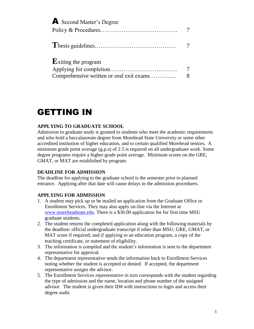| <b>A</b> Second Master's Degree                                            | 7                   |
|----------------------------------------------------------------------------|---------------------|
|                                                                            |                     |
| $\mathbf E$ xiting the program<br>Comprehensive written or oral exit exams | $\overline{7}$<br>8 |

## GETTING IN

#### **APPLYING TO GRADUATE SCHOOL**

Admission to graduate study is granted to students who meet the academic requirements and who hold a baccalaureate degree from Morehead State University or some other accredited institution of higher education, and to certain qualified Morehead seniors. A minimum grade point average (g.p.a) of 2.5 is required on all undergraduate work. Some degree programs require a higher grade point average. Minimum scores on the GRE, GMAT, or MAT are established by program.

#### **DEADLINE FOR ADMISSION**

The deadline for applying to the graduate school is the semester prior to planned entrance. Applying after that date will cause delays in the admission procedures.

### **APPLYING FOR ADMISSION**

- 1. A student may pick up or be mailed an application from the Graduate Office or Enrollment Services. They may also apply on-line via the Internet at [www.moreheadstate.edu.](http://www.moreheadstate.edu/) There is a \$30.00 application fee for first time MSU graduate students.
- 2. The student returns the completed application along with the following materials by the deadline: official undergraduate transcript if other than MSU; GRE, GMAT, or MAT score if required; and if applying to an education program, a copy of the teaching certificate, or statement of eligibility.
- 3. The information is compiled and the student's information is sent to the department representative for approval.
- 4. The department representative sends the information back to Enrollment Services noting whether the student is accepted or denied. If accepted, the department representative assigns the advisor.
- 5. The Enrollment Services representative in turn corresponds with the student regarding the type of admission and the name, location and phone number of the assigned advisor. The student is given their ID# with instructions to login and access their degree audit.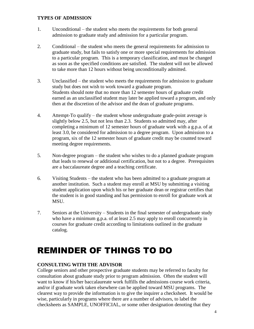#### **TYPES OF ADMISSION**

- 1. Unconditional the student who meets the requirements for both general admission to graduate study and admission for a particular program.
- 2. Conditional the student who meets the general requirements for admission to graduate study, but fails to satisfy one or more special requirements for admission to a particular program. This is a temporary classification, and must be changed as soon as the specified conditions are satisfied. The student will not be allowed to take more than 12 hours without being unconditionally admitted.
- 3. Unclassified the student who meets the requirements for admission to graduate study but does not wish to work toward a graduate program. Students should note that no more than 12 semester hours of graduate credit earned as an unclassified student may later be applied toward a program, and only then at the discretion of the advisor and the dean of graduate programs.
- 4. Attempt-To qualify the student whose undergraduate grade-point average is slightly below 2.5, but not less than 2.3. Students so admitted may, after completing a minimum of 12 semester hours of graduate work with a g.p.a. of at least 3.0, be considered for admission to a degree program. Upon admission to a program, six of the 12 semester hours of graduate credit may be counted toward meeting degree requirements.
- 5. Non-degree program the student who wishes to do a planned graduate program that leads to renewal or additional certification, but not to a degree. Prerequisites are a baccalaureate degree and a teaching certificate.
- 6. Visiting Students the student who has been admitted to a graduate program at another institution. Such a student may enroll at MSU by submitting a visiting student application upon which his or her graduate dean or registrar certifies that the student is in good standing and has permission to enroll for graduate work at MSU.
- 7. Seniors at the University Students in the final semester of undergraduate study who have a minimum g.p.a. of at least 2.5 may apply to enroll concurrently in courses for graduate credit according to limitations outlined in the graduate catalog.

### REMINDER OF THINGS TO DO

#### **CONSULTING WITH THE ADVISOR**

College seniors and other prospective graduate students may be referred to faculty for consultation about graduate study prior to program admission. Often the student will want to know if his/her baccalaureate work fulfills the admissions course work criteria, and/or if graduate work taken elsewhere can be applied toward MSU programs. The clearest way to provide the information is to give the inquirer a checksheet. It would be wise, particularly in programs where there are a number of advisors, to label the checksheets as SAMPLE, UNOFFICIAL, or some other designation denoting that they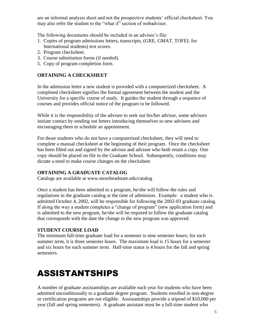are an informal analysis sheet and not the prospective students' official checksheet. You may also refer the student to the "what if" section of webadvisor.

The following documents should be included in an advisee's file:

- 1. Copies of program admissions letters, transcripts, (GRE, GMAT, TOFEL for International students) test scores.
- 2. Program checksheet.
- 3. Course substitution forms (if needed).
- 5. Copy of program completion form.

#### **OBTAINING A CHECKSHEET**

In the admission letter a new student is provided with a computerized checksheet. A completed checksheet signifies the formal agreement between the student and the University for a specific course of study. It guides the student through a sequence of courses and provides official notice of the program to be followed.

While it is the responsibility of the advisee to seek out his/her advisor, some advisors initiate contact by sending out letters introducing themselves to new advisees and encouraging them to schedule an appointment.

For those students who do not have a computerized checksheet, they will need to complete a manual checksheet at the beginning of their program. Once the checksheet has been filled out and signed by the advisor and advisee who both retain a copy. One copy should be placed on file in the Graduate School. Subsequently, conditions may dictate a need to make course changes on the checksheet.

#### **OBTAINING A GRADUATE CATALOG**

Catalogs are available at www.moreheadstate.edu/catalog

Once a student has been admitted to a program, he/she will follow the rules and regulations in the graduate catalog at the time of admission. Example: a student who is admitted October 4, 2002, will be responsible for following the 2002-03 graduate catalog. If along the way a student completes a "change of program" (new application form) and is admitted to the new program, he/she will be required to follow the graduate catalog that corresponds with the date the change to the new program was approved.

#### **STUDENT COURSE LOAD**

The minimum full-time graduate load for a semester is nine semester hours; for each summer term, it is three semester hours. The maximum load is 15 hours for a semester and six hours for each summer term. Half-time status is 4 hours for the fall and spring semesters.

# ASSISTANTSHIPS

A number of graduate assistantships are available each year for students who have been admitted unconditionally to a graduate degree program. Students enrolled in non-degree or certification programs are not eligible. Assistantships provide a stipend of \$10,000 per year (fall and spring semesters). A graduate assistant must be a full-time student who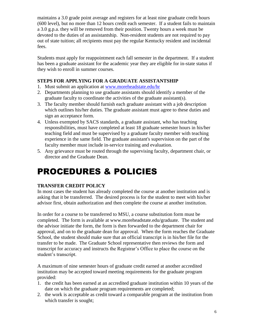maintains a 3.0 grade point average and registers for at least nine graduate credit hours (600 level), but no more than 12 hours credit each semester. If a student fails to maintain a 3.0 g.p.a. they will be removed from their position. Twenty hours a week must be devoted to the duties of an assistantship. Non-resident students are not required to pay out of state tuition; all recipients must pay the regular Kentucky resident and incidental fees.

Students must apply for reappointment each fall semester in the department. If a student has been a graduate assistant for the academic year they are eligible for in-state status if they wish to enroll in summer courses.

### **STEPS FOR APPLYING FOR A GRADUATE ASSISTANTSHIP**

- 1. Must submit an application at [www.moreheadstate.edu/hr](http://www.moreheadstate.edu/hr)
- 2. Departments planning to use graduate assistants should identify a member of the graduate faculty to coordinate the activities of the graduate assistant(s).
- 3. The faculty member should furnish each graduate assistant with a job description which outlines his/her duties. The graduate assistant must agree to these duties and sign an acceptance form.
- 4. Unless exempted by SACS standards, a graduate assistant, who has teaching responsibilities, must have completed at least 18 graduate semester hours in his/her teaching field and must be supervised by a graduate faculty member with teaching experience in the same field. The graduate assistant's supervision on the part of the faculty member must include in-service training and evaluation.
- 5. Any grievance must be routed through the supervising faculty, department chair, or director and the Graduate Dean.

# PROCEDURES & POLICIES

### **TRANSFER CREDIT POLICY**

In most cases the student has already completed the course at another institution and is asking that it be transferred. The desired process is for the student to meet with his/her advisor first, obtain authorization and then complete the course at another institution.

In order for a course to be transferred to MSU, a course substitution form must be completed. The form is available at www.moreheadstate.edu/graduate. The student and the advisor initiate the form, the form is then forwarded to the department chair for approval, and on to the graduate dean for approval. When the form reaches the Graduate School, the student should make sure that an official transcript is in his/her file for the transfer to be made. The Graduate School representative then reviews the form and transcript for accuracy and instructs the Registrar's Office to place the course on the student's transcript.

A maximum of nine semester hours of graduate credit earned at another accredited institution may be accepted toward meeting requirements for the graduate program provided:

- 1. the credit has been earned at an accredited graduate institution within 10 years of the date on which the graduate program requirements are completed;
- 2. the work is acceptable as credit toward a comparable program at the institution from which transfer is sought;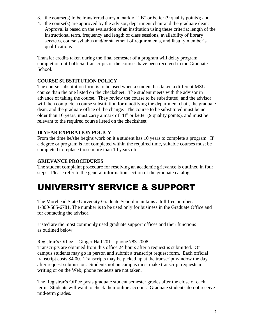- 3. the course(s) to be transferred carry a mark of "B" or better (9 quality points); and
- 4. the course(s) are approved by the advisor, department chair and the graduate dean. Approval is based on the evaluation of an institution using these criteria: length of the instructional term, frequency and length of class sessions, availability of library services, course syllabus and/or statement of requirements, and faculty member's qualifications

Transfer credits taken during the final semester of a program will delay program completion until official transcripts of the courses have been received in the Graduate School.

#### **COURSE SUBSTITUTION POLICY**

The course substitution form is to be used when a student has taken a different MSU course than the one listed on the checksheet. The student meets with the advisor in advance of taking the course. They review the course to be substituted, and the advisor will then complete a course substitution form notifying the department chair, the graduate dean, and the graduate office of the change. The course to be substituted must be no older than 10 years, must carry a mark of "B" or better (9 quality points), and must be relevant to the required course listed on the checksheet.

#### **10 YEAR EXPIRATION POLICY**

From the time he/she begins work on it a student has 10 years to complete a program. If a degree or program is not completed within the required time, suitable courses must be completed to replace those more than 10 years old.

### **GRIEVANCE PROCEDURES**

The student complaint procedure for resolving an academic grievance is outlined in four steps. Please refer to the general information section of the graduate catalog.

### UNIVERSITY SERVICE & SUPPORT

The Morehead State University Graduate School maintains a toll free number: 1-800-585-6781. The number is to be used only for business in the Graduate Office and for contacting the advisor.

Listed are the most commonly used graduate support offices and their functions as outlined below.

#### Registrar's Office - Ginger Hall 201 – phone 783-2008

Transcripts are obtained from this office 24 hours after a request is submitted. On campus students may go in person and submit a transcript request form. Each official transcript costs \$4.00. Transcripts may be picked up at the transcript window the day after request submission. Students not on campus must make transcript requests in writing or on the Web; phone requests are not taken.

The Registrar's Office posts graduate student semester grades after the close of each term. Students will want to check their online account. Graduate students do not receive mid-term grades.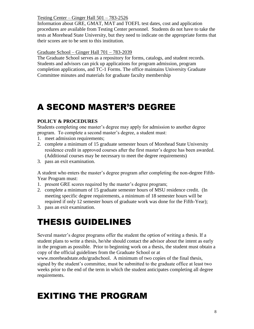Testing Center – Ginger Hall 501 – 783-2526

Information about GRE, GMAT, MAT and TOEFL test dates, cost and application procedures are available from Testing Center personnel. Students do not have to take the tests at Morehead State University, but they need to indicate on the appropriate forms that their scores are to be sent to this institution.

### Graduate School – Ginger Hall 701 – 783-2039

The Graduate School serves as a repository for forms, catalogs, and student records. Students and advisors can pick up applications for program admission, program completion applications, and TC-1 Forms. The office maintains University Graduate Committee minutes and materials for graduate faculty membership

# A SECOND MASTER'S DEGREE

### **POLICY & PROCEDURES**

Students completing one master's degree may apply for admission to another degree program. To complete a second master's degree, a student must:

- 1. meet admission requirements;
- 2. complete a minimum of 15 graduate semester hours of Morehead State University residence credit in approved courses after the first master's degree has been awarded. (Additional courses may be necessary to meet the degree requirements)
- 3. pass an exit examination.

A student who enters the master's degree program after completing the non-degree Fifth-Year Program must:

- 1. present GRE scores required by the master's degree program;
- 2. complete a minimum of 15 graduate semester hours of MSU residence credit. (In meeting specific degree requirements, a minimum of 18 semester hours will be required if only 12 semester hours of graduate work was done for the Fifth-Year);
- 3. pass an exit examination.

# THESIS GUIDELINES

Several master's degree programs offer the student the option of writing a thesis. If a student plans to write a thesis, he/she should contact the advisor about the intent as early in the program as possible. Prior to beginning work on a thesis, the student must obtain a copy of the official guidelines from the Graduate School or at

www.moreheadstate.edu/gradschool. A minimum of two copies of the final thesis, signed by the student's committee, must be submitted to the graduate office at least two weeks prior to the end of the term in which the student anticipates completing all degree requirements.

# EXITING THE PROGRAM